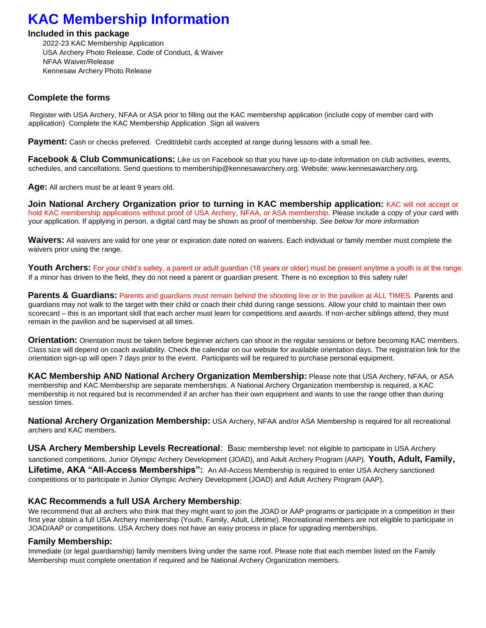# **KAC Membership Information**

#### **Included in this package**

2022-23 KAC Membership Application USA Archery Photo Release, Code of Conduct, & Waiver NFAA Waiver/Release Kennesaw Archery Photo Release

### **Complete the forms**

Register with USA Archery, NFAA or ASA prior to filling out the KAC membership application (include copy of member card with application) Complete the KAC Membership Application Sign all waivers

**Payment:** Cash or checks preferred. Credit/debit cards accepted at range during lessons with a small fee.

**Facebook & Club Communications:** Like us on Facebook so that you have up-to-date information on club activities, events, schedules, and cancellations. Send questions to membership@kennesawarchery.org. Website: www.kennesawarchery.org.

**Age:** All archers must be at least 9 years old.

**Join National Archery Organization prior to turning in KAC membership application:** KAC will not accept or hold KAC membership applications without proof of USA Archery, NFAA, or ASA membership. Please include a copy of your card with your application. If applying in person, a digital card may be shown as proof of membership. *See below for more information* 

**Waivers:** All waivers are valid for one year or expiration date noted on waivers. Each individual or family member must complete the waivers prior using the range.

Youth Archers: For your child's safety, a parent or adult quardian (18 years or older) must be present anytime a youth is at the range. If a minor has driven to the field, they do not need a parent or guardian present. There is no exception to this safety rule!

**Parents & Guardians:** Parents and guardians must remain behind the shooting line or in the pavilion at ALL TIMES. Parents and guardians may not walk to the target with their child or coach their child during range sessions. Allow your child to maintain their own scorecard – this is an important skill that each archer must learn for competitions and awards. If non-archer siblings attend, they must remain in the pavilion and be supervised at all times.

**Orientation:** Orientation must be taken before beginner archers can shoot in the regular sessions or before becoming KAC members. Class size will depend on coach availability. Check the calendar on our website for available orientation days. The registration link for the orientation sign-up will open 7 days prior to the event. Participants will be required to purchase personal equipment.

**KAC Membership AND National Archery Organization Membership:** Please note that USA Archery, NFAA, or ASA membership and KAC Membership are separate memberships. A National Archery Organization membership is required, a KAC membership is not required but is recommended if an archer has their own equipment and wants to use the range other than during session times.

**National Archery Organization Membership:** USA Archery, NFAA and/or ASA Membership is required for all recreational archers and KAC members.

**USA Archery Membership Levels Recreational**: Basic membership level: not eligible to participate in USA Archery sanctioned competitions, Junior Olympic Archery Development (JOAD), and Adult Archery Program (AAP). **Youth, Adult, Family, Lifetime, AKA "All-Access Memberships":** An All-Access Membership is required to enter USA Archery sanctioned competitions or to participate in Junior Olympic Archery Development (JOAD) and Adult Archery Program (AAP).

### **KAC Recommends a full USA Archery Membership**:

We recommend that all archers who think that they might want to join the JOAD or AAP programs or participate in a competition in their first year obtain a full USA Archery membership (Youth, Family, Adult, Lifetime). Recreational members are not eligible to participate in JOAD/AAP or competitions. USA Archery does not have an easy process in place for upgrading memberships.

### **Family Membership:**

Immediate (or legal guardianship) family members living under the same roof. Please note that each member listed on the Family Membership must complete orientation if required and be National Archery Organization members.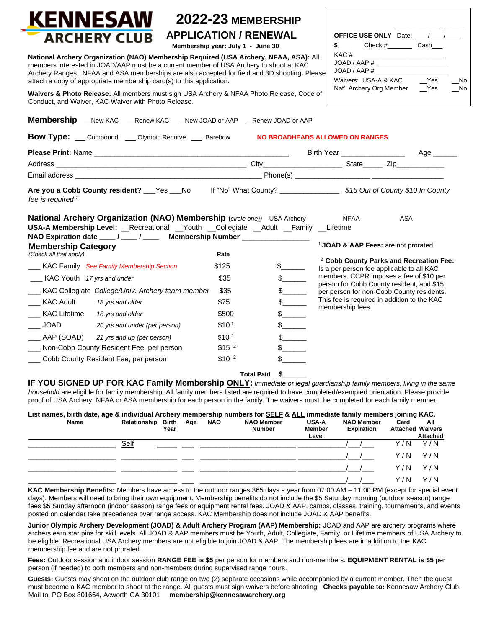

## **2022-23 MEMBERSHIP APPLICATION / RENEWAL**

**Membership year: July 1 - June 30** 

**National Archery Organization (NAO) Membership Required (USA Archery, NFAA, ASA):** All members interested in JOAD/AAP must be a current member of USA Archery to shoot at KAC Archery Ranges. NFAA and ASA memberships are also accepted for field and 3D shooting. **F** attach a copy of appropriate membership card(s) to this application.

Waivers & Photo Release: All members must sign USA Archery & NFAA Photo Release, Co Conduct, and Waiver, KAC Waiver with Photo Release.

|        | <b>OFFICE USE ONLY</b> Date: / /                 |            |          |
|--------|--------------------------------------------------|------------|----------|
| ): All | $Check\#$<br>KAC#                                | Cash       |          |
| Please | JOAD / AAP #<br>JOAD / AAP #                     |            |          |
| de of  | Waivers: USA-A & KAC<br>Nat'l Archery Org Member | Yes<br>Yes | No<br>No |

**\_\_\_\_\_\_ \_\_\_\_\_\_ \_\_\_\_\_\_**

| <b>Bow Type:</b> Compound _ Olympic Recurve _ Barebow                                                                                                                                                                                                                                                                         |                   |                          |                                                |                                                                                        |
|-------------------------------------------------------------------------------------------------------------------------------------------------------------------------------------------------------------------------------------------------------------------------------------------------------------------------------|-------------------|--------------------------|------------------------------------------------|----------------------------------------------------------------------------------------|
|                                                                                                                                                                                                                                                                                                                               |                   |                          |                                                |                                                                                        |
|                                                                                                                                                                                                                                                                                                                               |                   |                          |                                                |                                                                                        |
|                                                                                                                                                                                                                                                                                                                               |                   |                          |                                                |                                                                                        |
| Are you a Cobb County resident? ___Yes ___No lf "No" What County? __________________\$15 Out of County \$10 In County<br>fee is required <sup>2</sup>                                                                                                                                                                         |                   |                          |                                                |                                                                                        |
| <b>National Archery Organization (NAO) Membership (circle one))</b> USA Archery NFAA<br>USA-A Membership Level: Recreational Youth Collegiate Adult Family Lifetime<br>NAO Expiration date ____ / ____ / _____ Membership Number ________________                                                                             |                   |                          |                                                | ASA                                                                                    |
|                                                                                                                                                                                                                                                                                                                               |                   |                          |                                                |                                                                                        |
|                                                                                                                                                                                                                                                                                                                               |                   |                          | <sup>1</sup> JOAD & AAP Fees: are not prorated |                                                                                        |
|                                                                                                                                                                                                                                                                                                                               | Rate              |                          |                                                |                                                                                        |
|                                                                                                                                                                                                                                                                                                                               | \$125             | $\frac{1}{2}$            |                                                | Is a per person fee applicable to all KAC                                              |
| ___ KAC Youth 17 yrs and under                                                                                                                                                                                                                                                                                                | \$35              | $\frac{1}{2}$            |                                                | members. CCPR imposes a fee of \$10 per                                                |
|                                                                                                                                                                                                                                                                                                                               | \$35              |                          |                                                | person for Cobb County resident, and \$15<br>per person for non-Cobb County residents. |
| 18 yrs and older                                                                                                                                                                                                                                                                                                              | \$75              | $s$ <sub>_________</sub> |                                                | This fee is required in addition to the KAC                                            |
|                                                                                                                                                                                                                                                                                                                               | \$500             | $\frac{1}{2}$            | membership fees.                               |                                                                                        |
| 20 yrs and under (per person)                                                                                                                                                                                                                                                                                                 | \$10 <sup>1</sup> | s                        |                                                |                                                                                        |
|                                                                                                                                                                                                                                                                                                                               | \$10 <sup>1</sup> | $\frac{1}{2}$            |                                                |                                                                                        |
| <b>Membership Category</b><br>(Check all that apply)<br><b>KAC Family</b> See Family Membership Section<br>__ KAC Collegiate College/Univ. Archery team member<br><b>KAC Adult</b><br>___ KAC Lifetime 18 yrs and older<br>JOAD<br>____ AAP (SOAD) 21 yrs and up (per person)<br>___ Non-Cobb County Resident Fee, per person | \$15 <sup>2</sup> | $\frac{1}{2}$            |                                                | <sup>2</sup> Cobb County Parks and Recreation Fee:                                     |

**IF YOU SIGNED UP FOR KAC Family Membership ONLY:** *Immediate or legal guardianship family members, living in the same household* are eligible for family membership. All family members listed are required to have completed/exempted orientation. Please provide proof of USA Archery, NFAA or ASA membership for each person in the family. The waivers must be completed for each family member.

| List names, birth date, age & individual Archery membership numbers for SELF & ALL immediate family members joining KAC. |                        |      |  |            |                                    |                                        |                                        |                                 |                        |
|--------------------------------------------------------------------------------------------------------------------------|------------------------|------|--|------------|------------------------------------|----------------------------------------|----------------------------------------|---------------------------------|------------------------|
| Name                                                                                                                     | Relationship Birth Age | Year |  | <b>NAO</b> | <b>NAO Member</b><br><b>Number</b> | <b>USA-A</b><br><b>Member</b><br>Level | <b>NAO Member</b><br><b>Expiration</b> | Card<br><b>Attached Waivers</b> | All<br><b>Attached</b> |
|                                                                                                                          | Self                   |      |  |            |                                    |                                        |                                        | Y / N                           | Y/N                    |
|                                                                                                                          |                        |      |  |            |                                    |                                        |                                        | Y / N                           | Y/N                    |
|                                                                                                                          |                        |      |  |            |                                    |                                        |                                        | Y / N                           | Y/N                    |
|                                                                                                                          |                        |      |  |            |                                    |                                        |                                        | Y / N                           | Y / N                  |

**KAC Membership Benefits:** Members have access to the outdoor ranges 365 days a year from 07:00 AM – 11:00 PM (except for special event days). Members will need to bring their own equipment. Membership benefits do not include the \$5 Saturday morning (outdoor season) range fees \$5 Sunday afternoon (indoor season) range fees or equipment rental fees. JOAD & AAP, camps, classes, training, tournaments, and events posted on calendar take precedence over range access. KAC Membership does not include JOAD & AAP benefits.

**Junior Olympic Archery Development (JOAD) & Adult Archery Program (AAP) Membership:** JOAD and AAP are archery programs where archers earn star pins for skill levels. All JOAD & AAP members must be Youth, Adult, Collegiate, Family, or Lifetime members of USA Archery to be eligible. Recreational USA Archery members are not eligible to join JOAD & AAP. The membership fees are in addition to the KAC membership fee and are not prorated.

**Fees:** Outdoor session and indoor session **RANGE FEE is \$5** per person for members and non-members. **EQUIPMENT RENTAL is \$5** per person (if needed) to both members and non-members during supervised range hours.

**Guests:** Guests may shoot on the outdoor club range on two (2) separate occasions while accompanied by a current member. Then the guest must become a KAC member to shoot at the range. All guests must sign waivers before shooting. **Checks payable to:** Kennesaw Archery Club. Mail to: PO Box 801664**,** Acworth GA 30101 **membership@kennesawarchery.org**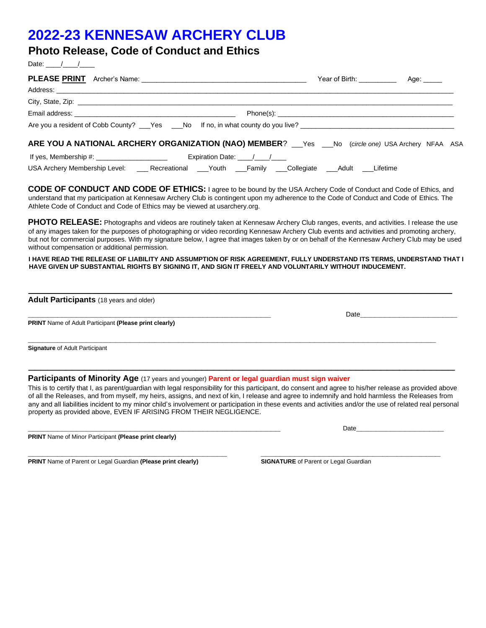# **2022-23 KENNESAW ARCHERY CLUB**

## **Photo Release, Code of Conduct and Ethics**

Date:  $\frac{1}{\sqrt{2\pi}}$ 

| ARE YOU A NATIONAL ARCHERY ORGANIZATION (NAO) MEMBER? ___Yes ___No (circle one) USA Archery NFAA ASA                                                                                                                                                                                                                                                                                                                                                                                                                                        |                                              |  |
|---------------------------------------------------------------------------------------------------------------------------------------------------------------------------------------------------------------------------------------------------------------------------------------------------------------------------------------------------------------------------------------------------------------------------------------------------------------------------------------------------------------------------------------------|----------------------------------------------|--|
|                                                                                                                                                                                                                                                                                                                                                                                                                                                                                                                                             |                                              |  |
| USA Archery Membership Level: _____Recreational ____Youth ____Family ____Collegiate ____Adult ____Lifetime                                                                                                                                                                                                                                                                                                                                                                                                                                  |                                              |  |
| <b>CODE OF CONDUCT AND CODE OF ETHICS:</b> I agree to be bound by the USA Archery Code of Conduct and Code of Ethics, and<br>understand that my participation at Kennesaw Archery Club is contingent upon my adherence to the Code of Conduct and Code of Ethics. The<br>Athlete Code of Conduct and Code of Ethics may be viewed at usarchery.org.                                                                                                                                                                                         |                                              |  |
| PHOTO RELEASE: Photographs and videos are routinely taken at Kennesaw Archery Club ranges, events, and activities. I release the use<br>of any images taken for the purposes of photographing or video recording Kennesaw Archery Club events and activities and promoting archery,<br>but not for commercial purposes. With my signature below, I agree that images taken by or on behalf of the Kennesaw Archery Club may be used<br>without compensation or additional permission.                                                       |                                              |  |
| I HAVE READ THE RELEASE OF LIABILITY AND ASSUMPTION OF RISK AGREEMENT, FULLY UNDERSTAND ITS TERMS, UNDERSTAND THAT I<br>HAVE GIVEN UP SUBSTANTIAL RIGHTS BY SIGNING IT, AND SIGN IT FREELY AND VOLUNTARILY WITHOUT INDUCEMENT.                                                                                                                                                                                                                                                                                                              |                                              |  |
|                                                                                                                                                                                                                                                                                                                                                                                                                                                                                                                                             |                                              |  |
| Adult Participants (18 years and older)                                                                                                                                                                                                                                                                                                                                                                                                                                                                                                     |                                              |  |
| <b>PRINT</b> Name of Adult Participant (Please print clearly)                                                                                                                                                                                                                                                                                                                                                                                                                                                                               |                                              |  |
| <b>Signature of Adult Participant</b>                                                                                                                                                                                                                                                                                                                                                                                                                                                                                                       |                                              |  |
| <b>Participants of Minority Age</b> (17 years and younger) Parent or legal guardian must sign waiver                                                                                                                                                                                                                                                                                                                                                                                                                                        |                                              |  |
| This is to certify that I, as parent/guardian with legal responsibility for this participant, do consent and agree to his/her release as provided above<br>of all the Releases, and from myself, my heirs, assigns, and next of kin, I release and agree to indemnify and hold harmless the Releases from<br>any and all liabilities incident to my minor child's involvement or participation in these events and activities and/or the use of related real personal<br>property as provided above, EVEN IF ARISING FROM THEIR NEGLIGENCE. |                                              |  |
|                                                                                                                                                                                                                                                                                                                                                                                                                                                                                                                                             | Date                                         |  |
| PRINT Name of Minor Participant (Please print clearly)                                                                                                                                                                                                                                                                                                                                                                                                                                                                                      |                                              |  |
| PRINT Name of Parent or Legal Guardian (Please print clearly)                                                                                                                                                                                                                                                                                                                                                                                                                                                                               | <b>SIGNATURE</b> of Parent or Legal Guardian |  |
|                                                                                                                                                                                                                                                                                                                                                                                                                                                                                                                                             |                                              |  |
|                                                                                                                                                                                                                                                                                                                                                                                                                                                                                                                                             |                                              |  |
|                                                                                                                                                                                                                                                                                                                                                                                                                                                                                                                                             |                                              |  |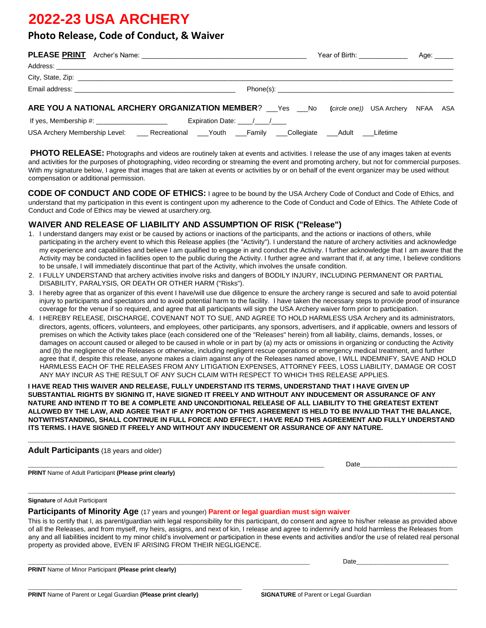# **2022-23 USA ARCHERY**

## **Photo Release, Code of Conduct, & Waiver**

|                                                                                                            |  |                      |  |  | Year of Birth: ______________ |  |  |  |
|------------------------------------------------------------------------------------------------------------|--|----------------------|--|--|-------------------------------|--|--|--|
|                                                                                                            |  |                      |  |  |                               |  |  |  |
|                                                                                                            |  |                      |  |  |                               |  |  |  |
|                                                                                                            |  |                      |  |  |                               |  |  |  |
| ARE YOU A NATIONAL ARCHERY ORGANIZATION MEMBER? ___ Yes ___ No (circle one)) USA Archery NFAA ASA          |  |                      |  |  |                               |  |  |  |
|                                                                                                            |  | Expiration Date: / / |  |  |                               |  |  |  |
| USA Archery Membership Level: _____Recreational ____Youth ____Family ____Collegiate ____Adult ____Lifetime |  |                      |  |  |                               |  |  |  |

**PHOTO RELEASE:** Photographs and videos are routinely taken at events and activities. I release the use of any images taken at events and activities for the purposes of photographing, video recording or streaming the event and promoting archery, but not for commercial purposes. With my signature below, I agree that images that are taken at events or activities by or on behalf of the event organizer may be used without compensation or additional permission.

**CODE OF CONDUCT AND CODE OF ETHICS:** I agree to be bound by the USA Archery Code of Conduct and Code of Ethics, and understand that my participation in this event is contingent upon my adherence to the Code of Conduct and Code of Ethics. The Athlete Code of Conduct and Code of Ethics may be viewed at usarchery.org.

### **WAIVER AND RELEASE OF LIABILITY AND ASSUMPTION OF RISK ("Release")**

- 1. I understand dangers may exist or be caused by actions or inactions of the participants, and the actions or inactions of others, while participating in the archery event to which this Release applies (the "Activity"). I understand the nature of archery activities and acknowledge my experience and capabilities and believe I am qualified to engage in and conduct the Activity. I further acknowledge that I am aware that the Activity may be conducted in facilities open to the public during the Activity. I further agree and warrant that if, at any time, I believe conditions to be unsafe, I will immediately discontinue that part of the Activity, which involves the unsafe condition.
- 2. I FULLY UNDERSTAND that archery activities involve risks and dangers of BODILY INJURY, INCLUDING PERMANENT OR PARTIAL DISABILITY, PARALYSIS, OR DEATH OR OTHER HARM ("Risks").
- 3. I hereby agree that as organizer of this event I have/will use due diligence to ensure the archery range is secured and safe to avoid potential injury to participants and spectators and to avoid potential harm to the facility. I have taken the necessary steps to provide proof of insurance coverage for the venue if so required, and agree that all participants will sign the USA Archery waiver form prior to participation.
- 4. I HEREBY RELEASE, DISCHARGE, COVENANT NOT TO SUE, AND AGREE TO HOLD HARMLESS USA Archery and its administrators, directors, agents, officers, volunteers, and employees, other participants, any sponsors, advertisers, and if applicable, owners and lessors of premises on which the Activity takes place (each considered one of the "Releases" herein) from all liability, claims, demands, losses, or damages on account caused or alleged to be caused in whole or in part by (a) my acts or omissions in organizing or conducting the Activity and (b) the negligence of the Releases or otherwise, including negligent rescue operations or emergency medical treatment, and further agree that if, despite this release, anyone makes a claim against any of the Releases named above, I WILL INDEMNIFY, SAVE AND HOLD HARMLESS EACH OF THE RELEASES FROM ANY LITIGATION EXPENSES, ATTORNEY FEES, LOSS LIABILITY, DAMAGE OR COST ANY MAY INCUR AS THE RESULT OF ANY SUCH CLAIM WITH RESPECT TO WHICH THIS RELEASE APPLIES.

**I HAVE READ THIS WAIVER AND RELEASE, FULLY UNDERSTAND ITS TERMS, UNDERSTAND THAT I HAVE GIVEN UP SUBSTANTIAL RIGHTS BY SIGNING IT, HAVE SIGNED IT FREELY AND WITHOUT ANY INDUCEMENT OR ASSURANCE OF ANY NATURE AND INTEND IT TO BE A COMPLETE AND UNCONDITIONAL RELEASE OF ALL LIABILITY TO THE GREATEST EXTENT ALLOWED BY THE LAW, AND AGREE THAT IF ANY PORTION OF THIS AGREEMENT IS HELD TO BE INVALID THAT THE BALANCE, NOTWITHSTANDING, SHALL CONTINUE IN FULL FORCE AND EFFECT. I HAVE READ THIS AGREEMENT AND FULLY UNDERSTAND ITS TERMS. I HAVE SIGNED IT FREELY AND WITHOUT ANY INDUCEMENT OR ASSURANCE OF ANY NATURE.** 

**\_\_\_\_\_\_\_\_\_\_\_\_\_\_\_\_\_\_\_\_\_\_\_\_\_\_\_\_\_\_\_\_\_\_\_\_\_\_\_\_\_\_\_\_\_\_\_\_\_\_\_\_\_\_\_\_\_\_\_\_\_\_\_\_\_\_\_\_\_\_\_\_\_\_\_\_\_\_\_\_\_\_\_\_\_\_\_\_** 

#### **Adult Participants** (18 years and older)

**PRINT** Name of Adult Participant **(Please print clearly)**

**\_\_\_\_\_\_\_\_\_\_\_\_\_\_\_\_\_\_\_\_\_\_\_\_\_\_\_\_\_\_\_\_\_\_\_\_\_\_\_\_\_\_\_\_\_\_\_\_\_\_\_\_\_\_\_\_\_\_\_\_\_** Date**\_\_\_\_\_\_\_\_\_\_\_\_\_\_\_\_\_\_\_\_**

#### **Signature** of Adult Participant

**Participants of Minority Age** (17 years and younger) **Parent or legal guardian must sign waiver**

This is to certify that I, as parent/guardian with legal responsibility for this participant, do consent and agree to his/her release as provided above of all the Releases, and from myself, my heirs, assigns, and next of kin, I release and agree to indemnify and hold harmless the Releases from any and all liabilities incident to my minor child's involvement or participation in these events and activities and/or the use of related real personal property as provided above, EVEN IF ARISING FROM THEIR NEGLIGENCE.

**\_\_\_\_\_\_\_\_\_\_\_\_\_\_\_\_\_\_\_\_\_\_\_\_\_\_\_\_\_\_\_\_\_\_\_\_\_\_\_\_\_\_\_\_\_\_\_\_\_\_\_\_\_\_\_\_\_\_** Date**\_\_\_\_\_\_\_\_\_\_\_\_\_\_\_\_\_\_\_**

**\_\_\_\_\_\_\_\_\_\_\_\_\_\_\_\_\_\_\_\_\_\_\_\_\_\_\_\_\_\_\_\_\_\_\_\_\_\_\_\_\_\_\_\_\_\_\_\_\_\_\_\_\_\_\_\_\_\_\_\_\_\_\_\_\_\_\_\_\_\_\_\_\_\_\_\_\_\_\_\_\_\_\_\_\_\_\_\_** 

**PRINT** Name of Minor Participant **(Please print clearly)**

**\_\_\_\_\_\_\_\_\_\_\_\_\_\_\_\_\_\_\_\_\_\_\_\_\_\_\_\_\_\_\_\_\_\_\_\_\_\_\_\_\_\_\_\_ \_\_\_\_\_\_\_\_\_\_\_\_\_\_\_\_\_\_\_\_\_\_\_\_\_\_\_\_\_\_\_\_\_\_\_\_\_\_\_\_**

**PRINT** Name of Parent or Legal Guardian **(Please print clearly)** SIGNATURE of Parent or Legal Guardian